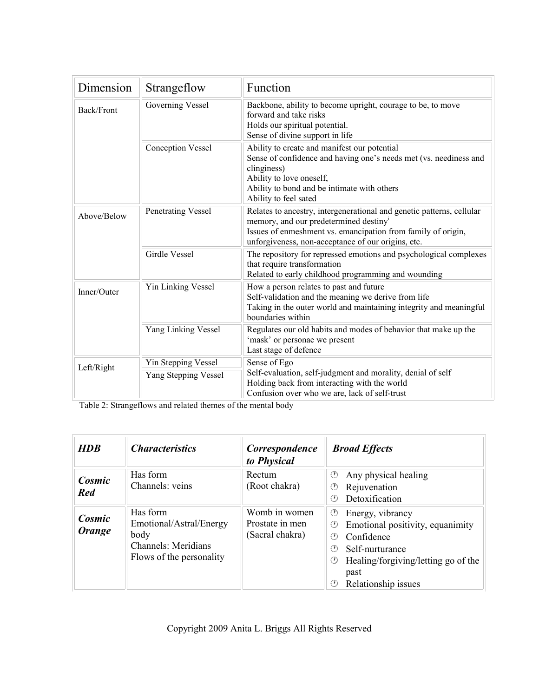| Dimension   | Strangeflow               | Function                                                                                                                                                                                                                                          |  |
|-------------|---------------------------|---------------------------------------------------------------------------------------------------------------------------------------------------------------------------------------------------------------------------------------------------|--|
| Back/Front  | <b>Governing Vessel</b>   | Backbone, ability to become upright, courage to be, to move<br>forward and take risks<br>Holds our spiritual potential.<br>Sense of divine support in life                                                                                        |  |
|             | <b>Conception Vessel</b>  | Ability to create and manifest our potential<br>Sense of confidence and having one's needs met (vs. neediness and<br>clinginess)<br>Ability to love oneself,<br>Ability to bond and be intimate with others<br>Ability to feel sated              |  |
| Above/Below | Penetrating Vessel        | Relates to ancestry, intergenerational and genetic patterns, cellular<br>memory, and our predetermined destiny <sup>i</sup><br>Issues of enmeshment vs. emancipation from family of origin,<br>unforgiveness, non-acceptance of our origins, etc. |  |
|             | <b>Girdle Vessel</b>      | The repository for repressed emotions and psychological complexes<br>that require transformation<br>Related to early childhood programming and wounding                                                                                           |  |
| Inner/Outer | <b>Yin Linking Vessel</b> | How a person relates to past and future<br>Self-validation and the meaning we derive from life<br>Taking in the outer world and maintaining integrity and meaningful<br>boundaries within                                                         |  |
|             | Yang Linking Vessel       | Regulates our old habits and modes of behavior that make up the<br>'mask' or personae we present<br>Last stage of defence                                                                                                                         |  |
| Left/Right  | Yin Stepping Vessel       | Sense of Ego<br>Self-evaluation, self-judgment and morality, denial of self<br>Holding back from interacting with the world<br>Confusion over who we are, lack of self-trust                                                                      |  |
|             | Yang Stepping Vessel      |                                                                                                                                                                                                                                                   |  |

Table 2: Strangeflows and related themes of the mental body

| <b>HDB</b>       | <i><b>Characteristics</b></i>                                                                         | Correspondence<br>to Physical                       | <b>Broad Effects</b>                                                                                                                                                                                      |
|------------------|-------------------------------------------------------------------------------------------------------|-----------------------------------------------------|-----------------------------------------------------------------------------------------------------------------------------------------------------------------------------------------------------------|
| Cosmic<br>Red    | Has form<br>Channels: yeins                                                                           | Rectum<br>(Root chakra)                             | Any physical healing<br>O<br>Rejuvenation<br>O<br>Detoxification<br>O)                                                                                                                                    |
| Cosmic<br>Orange | Has form<br>Emotional/Astral/Energy<br>body<br><b>Channels: Meridians</b><br>Flows of the personality | Womb in women<br>Prostate in men<br>(Sacral chakra) | Energy, vibrancy<br>O<br>Emotional positivity, equanimity<br>⊙<br>Confidence<br>$(\mathcal{V})$<br>Self-nurturance<br>(V)<br>Healing/forgiving/letting go of the<br>O<br>past<br>Relationship issues<br>O |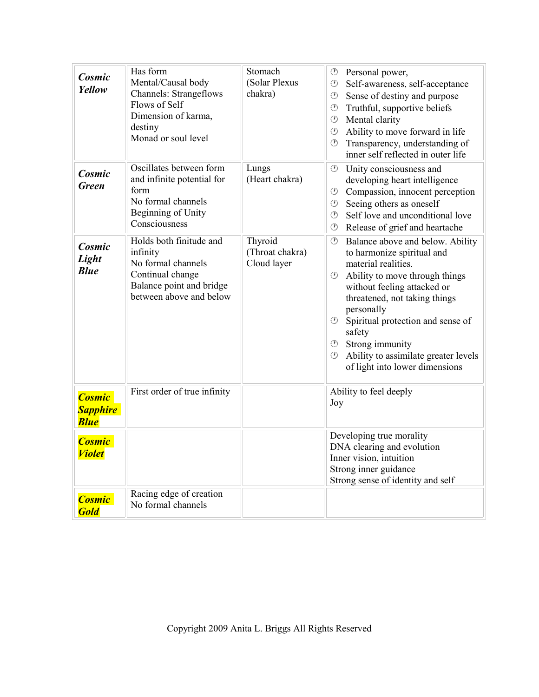| Cosmic<br>Yellow                                | Has form<br>Mental/Causal body<br><b>Channels: Strangeflows</b><br>Flows of Self<br>Dimension of karma,<br>destiny<br>Monad or soul level | Stomach<br>(Solar Plexus<br>chakra)       | $\circledcirc$<br>Personal power,<br>$\circledcirc$<br>Self-awareness, self-acceptance<br>$\bigcirc$<br>Sense of destiny and purpose<br>Truthful, supportive beliefs<br>$\circledcirc$<br>Mental clarity<br>$\circledcirc$<br>Ability to move forward in life<br>$\circledcirc$<br>$\circled{r}$<br>Transparency, understanding of<br>inner self reflected in outer life                                                       |
|-------------------------------------------------|-------------------------------------------------------------------------------------------------------------------------------------------|-------------------------------------------|--------------------------------------------------------------------------------------------------------------------------------------------------------------------------------------------------------------------------------------------------------------------------------------------------------------------------------------------------------------------------------------------------------------------------------|
| Cosmic<br>Green                                 | Oscillates between form<br>and infinite potential for<br>form<br>No formal channels<br><b>Beginning of Unity</b><br>Consciousness         | Lungs<br>(Heart chakra)                   | ⊙<br>Unity consciousness and<br>developing heart intelligence<br>Compassion, innocent perception<br>$\circledcirc$<br>Seeing others as oneself<br>$\circledcirc$<br>Self love and unconditional love<br>$\odot$<br>Release of grief and heartache<br>⊙                                                                                                                                                                         |
| Cosmic<br>Light<br><b>Blue</b>                  | Holds both finitude and<br>infinity<br>No formal channels<br>Continual change<br>Balance point and bridge<br>between above and below      | Thyroid<br>(Throat chakra)<br>Cloud layer | $\circledcirc$<br>Balance above and below. Ability<br>to harmonize spiritual and<br>material realities.<br>⊙<br>Ability to move through things<br>without feeling attacked or<br>threatened, not taking things<br>personally<br>Spiritual protection and sense of<br>⊙<br>safety<br><b><sup><math>\circledcirc</math></sup></b> Strong immunity<br>Ability to assimilate greater levels<br>⊙<br>of light into lower dimensions |
| <b>Cosmic</b><br><b>Sapphire</b><br><b>Blue</b> | First order of true infinity                                                                                                              |                                           | Ability to feel deeply<br>Joy                                                                                                                                                                                                                                                                                                                                                                                                  |
| <b>Cosmic</b><br><b>Violet</b>                  |                                                                                                                                           |                                           | Developing true morality<br>DNA clearing and evolution<br>Inner vision, intuition<br>Strong inner guidance<br>Strong sense of identity and self                                                                                                                                                                                                                                                                                |
| <b>Cosmic</b><br><b>Gold</b>                    | Racing edge of creation<br>No formal channels                                                                                             |                                           |                                                                                                                                                                                                                                                                                                                                                                                                                                |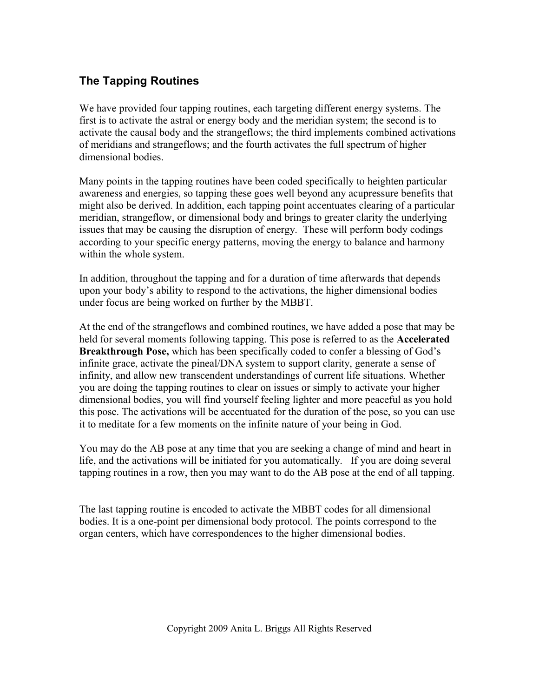## **The Tapping Routines**

We have provided four tapping routines, each targeting different energy systems. The first is to activate the astral or energy body and the meridian system; the second is to activate the causal body and the strangeflows; the third implements combined activations of meridians and strangeflows; and the fourth activates the full spectrum of higher dimensional bodies.

Many points in the tapping routines have been coded specifically to heighten particular awareness and energies, so tapping these goes well beyond any acupressure benefits that might also be derived. In addition, each tapping point accentuates clearing of a particular meridian, strangeflow, or dimensional body and brings to greater clarity the underlying issues that may be causing the disruption of energy. These will perform body codings according to your specific energy patterns, moving the energy to balance and harmony within the whole system.

In addition, throughout the tapping and for a duration of time afterwards that depends upon your body's ability to respond to the activations, the higher dimensional bodies under focus are being worked on further by the MBBT.

At the end of the strangeflows and combined routines, we have added a pose that may be held for several moments following tapping. This pose is referred to as the **Accelerated Breakthrough Pose,** which has been specifically coded to confer a blessing of God's infinite grace, activate the pineal/DNA system to support clarity, generate a sense of infinity, and allow new transcendent understandings of current life situations. Whether you are doing the tapping routines to clear on issues or simply to activate your higher dimensional bodies, you will find yourself feeling lighter and more peaceful as you hold this pose. The activations will be accentuated for the duration of the pose, so you can use it to meditate for a few moments on the infinite nature of your being in God.

You may do the AB pose at any time that you are seeking a change of mind and heart in life, and the activations will be initiated for you automatically. If you are doing several tapping routines in a row, then you may want to do the AB pose at the end of all tapping.

The last tapping routine is encoded to activate the MBBT codes for all dimensional bodies. It is a one-point per dimensional body protocol. The points correspond to the organ centers, which have correspondences to the higher dimensional bodies.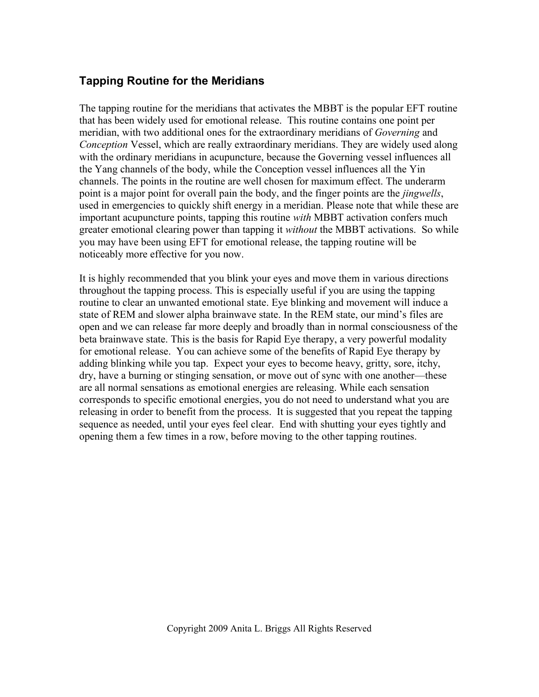## **Tapping Routine for the Meridians**

The tapping routine for the meridians that activates the MBBT is the popular EFT routine that has been widely used for emotional release. This routine contains one point per meridian, with two additional ones for the extraordinary meridians of *Governing* and *Conception* Vessel, which are really extraordinary meridians. They are widely used along with the ordinary meridians in acupuncture, because the Governing vessel influences all the Yang channels of the body, while the Conception vessel influences all the Yin channels. The points in the routine are well chosen for maximum effect. The underarm point is a major point for overall pain the body, and the finger points are the *jingwells*, used in emergencies to quickly shift energy in a meridian. Please note that while these are important acupuncture points, tapping this routine *with* MBBT activation confers much greater emotional clearing power than tapping it *without* the MBBT activations. So while you may have been using EFT for emotional release, the tapping routine will be noticeably more effective for you now.

It is highly recommended that you blink your eyes and move them in various directions throughout the tapping process. This is especially useful if you are using the tapping routine to clear an unwanted emotional state. Eye blinking and movement will induce a state of REM and slower alpha brainwave state. In the REM state, our mind's files are open and we can release far more deeply and broadly than in normal consciousness of the beta brainwave state. This is the basis for Rapid Eye therapy, a very powerful modality for emotional release. You can achieve some of the benefits of Rapid Eye therapy by adding blinking while you tap. Expect your eyes to become heavy, gritty, sore, itchy, dry, have a burning or stinging sensation, or move out of sync with one another—these are all normal sensations as emotional energies are releasing. While each sensation corresponds to specific emotional energies, you do not need to understand what you are releasing in order to benefit from the process. It is suggested that you repeat the tapping sequence as needed, until your eyes feel clear. End with shutting your eyes tightly and opening them a few times in a row, before moving to the other tapping routines.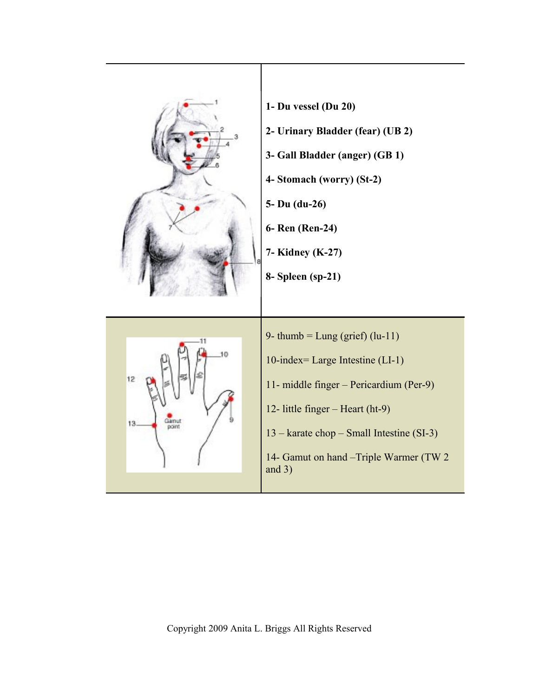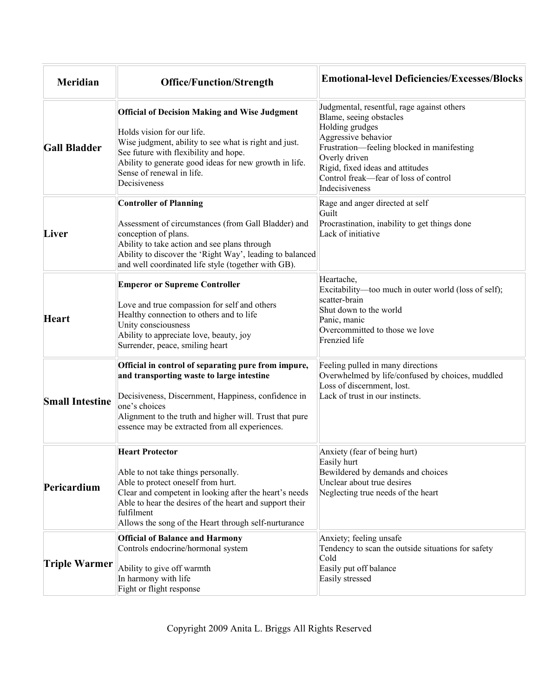| <b>Meridian</b>        | <b>Office/Function/Strength</b>                                                                                                                                                                                                                                                                | <b>Emotional-level Deficiencies/Excesses/Blocks</b>                                                                                                                                                                                                                           |
|------------------------|------------------------------------------------------------------------------------------------------------------------------------------------------------------------------------------------------------------------------------------------------------------------------------------------|-------------------------------------------------------------------------------------------------------------------------------------------------------------------------------------------------------------------------------------------------------------------------------|
| <b>Gall Bladder</b>    | <b>Official of Decision Making and Wise Judgment</b><br>Holds vision for our life.<br>Wise judgment, ability to see what is right and just.<br>See future with flexibility and hope.<br>Ability to generate good ideas for new growth in life.<br>Sense of renewal in life.<br>Decisiveness    | Judgmental, resentful, rage against others<br>Blame, seeing obstacles<br>Holding grudges<br>Aggressive behavior<br>Frustration-feeling blocked in manifesting<br>Overly driven<br>Rigid, fixed ideas and attitudes<br>Control freak—fear of loss of control<br>Indecisiveness |
| Liver                  | <b>Controller of Planning</b><br>Assessment of circumstances (from Gall Bladder) and<br>conception of plans.<br>Ability to take action and see plans through<br>Ability to discover the 'Right Way', leading to balanced<br>and well coordinated life style (together with GB).                | Rage and anger directed at self<br>Guilt<br>Procrastination, inability to get things done<br>Lack of initiative                                                                                                                                                               |
| <b>Heart</b>           | <b>Emperor or Supreme Controller</b><br>Love and true compassion for self and others<br>Healthy connection to others and to life<br>Unity consciousness<br>Ability to appreciate love, beauty, joy<br>Surrender, peace, smiling heart                                                          | Heartache,<br>Excitability-too much in outer world (loss of self);<br>scatter-brain<br>Shut down to the world<br>Panic, manic<br>Overcommitted to those we love<br>Frenzied life                                                                                              |
| <b>Small Intestine</b> | Official in control of separating pure from impure,<br>and transporting waste to large intestine<br>Decisiveness, Discernment, Happiness, confidence in<br>one's choices<br>Alignment to the truth and higher will. Trust that pure<br>essence may be extracted from all experiences.          | Feeling pulled in many directions<br>Overwhelmed by life/confused by choices, muddled<br>Loss of discernment, lost.<br>Lack of trust in our instincts.                                                                                                                        |
| Pericardium            | <b>Heart Protector</b><br>Able to not take things personally.<br>Able to protect oneself from hurt.<br>Clear and competent in looking after the heart's needs<br>Able to hear the desires of the heart and support their<br>fulfilment<br>Allows the song of the Heart through self-nurturance | Anxiety (fear of being hurt)<br>Easily hurt<br>Bewildered by demands and choices<br>Unclear about true desires<br>Neglecting true needs of the heart                                                                                                                          |
| <b>Triple Warmer</b>   | <b>Official of Balance and Harmony</b><br>Controls endocrine/hormonal system<br>Ability to give off warmth<br>In harmony with life<br>Fight or flight response                                                                                                                                 | Anxiety; feeling unsafe<br>Tendency to scan the outside situations for safety<br>Cold<br>Easily put off balance<br>Easily stressed                                                                                                                                            |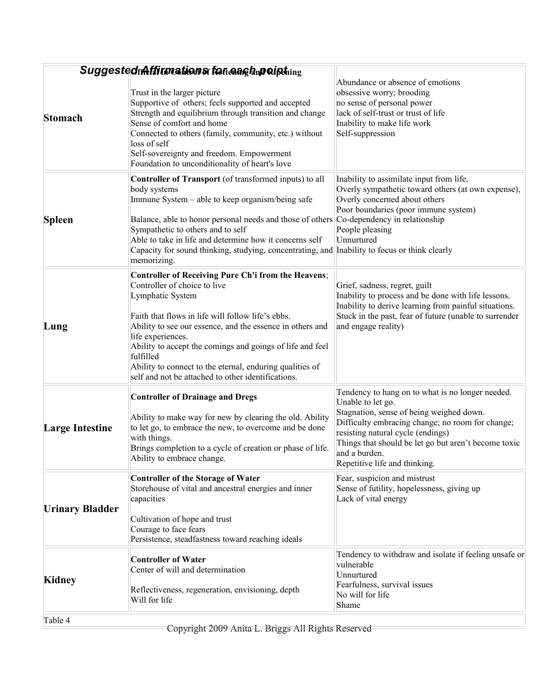|                        | SuggestedfrAffirmations for anglapoipthing                                                                                                                                                                                                                                                                                                                                                                                                        |                                                                                                                                                                                                                                                                                                                      |
|------------------------|---------------------------------------------------------------------------------------------------------------------------------------------------------------------------------------------------------------------------------------------------------------------------------------------------------------------------------------------------------------------------------------------------------------------------------------------------|----------------------------------------------------------------------------------------------------------------------------------------------------------------------------------------------------------------------------------------------------------------------------------------------------------------------|
| <b>Stomach</b>         | Trust in the larger picture<br>Supportive of others; feels supported and accepted<br>Strength and equilibrium through transition and change<br>Sense of comfort and home<br>Connected to others (family, community, etc.) without<br>loss of self<br>Self-sovereignty and freedom. Empowerment<br>Foundation to unconditionality of heart's love                                                                                                  | Abundance or absence of emotions<br>obsessive worry; brooding<br>no sense of personal power<br>lack of self-trust or trust of life<br>Inability to make life work<br>Self-suppression                                                                                                                                |
| <b>Spleen</b>          | <b>Controller of Transport</b> (of transformed inputs) to all<br>body systems<br>Immune System – able to keep organism/being safe<br>Balance, able to honor personal needs and those of others Co-dependency in relationship<br>Sympathetic to others and to self<br>Able to take in life and determine how it concerns self<br>Capacity for sound thinking, studying, concentrating, and Inability to focus or think clearly<br>memorizing.      | Inability to assimilate input from life,<br>Overly sympathetic toward others (at own expense),<br>Overly concerned about others<br>Poor boundaries (poor immune system)<br>People pleasing<br>Unnurtured                                                                                                             |
| Lung                   | <b>Controller of Receiving Pure Ch'i from the Heavens;</b><br>Controller of choice to live<br>Lymphatic System<br>Faith that flows in life will follow life's ebbs.<br>Ability to see our essence, and the essence in others and<br>life experiences.<br>Ability to accept the comings and goings of life and feel<br>fulfilled<br>Ability to connect to the eternal, enduring qualities of<br>self and not be attached to other identifications. | Grief, sadness, regret, guilt<br>Inability to process and be done with life lessons.<br>Inability to derive learning from painful situations.<br>Stuck in the past, fear of future (unable to surrender<br>and engage reality)                                                                                       |
| <b>Large Intestine</b> | <b>Controller of Drainage and Dregs</b><br>Ability to make way for new by clearing the old. Ability<br>to let go, to embrace the new, to overcome and be done<br>with things.<br>Brings completion to a cycle of creation or phase of life.<br>Ability to embrace change.                                                                                                                                                                         | Tendency to hang on to what is no longer needed.<br>Unable to let go.<br>Stagnation, sense of being weighed down.<br>Difficulty embracing change; no room for change;<br>resisting natural cycle (endings)<br>Things that should be let go but aren't become toxic<br>and a burden.<br>Repetitive life and thinking. |
| <b>Urinary Bladder</b> | <b>Controller of the Storage of Water</b><br>Storehouse of vital and ancestral energies and inner<br>capacities<br>Cultivation of hope and trust<br>Courage to face fears<br>Persistence, steadfastness toward reaching ideals                                                                                                                                                                                                                    | Fear, suspicion and mistrust<br>Sense of futility, hopelessness, giving up<br>Lack of vital energy                                                                                                                                                                                                                   |
| Kidney                 | <b>Controller of Water</b><br>Center of will and determination<br>Reflectiveness, regeneration, envisioning, depth<br>Will for life                                                                                                                                                                                                                                                                                                               | Tendency to withdraw and isolate if feeling unsafe or<br>vulnerable<br>Unnurtured<br>Fearfulness, survival issues<br>No will for life<br>Shame                                                                                                                                                                       |
| Table 4                | Convright 2000 Anito I Driggs All Dights Deserv-                                                                                                                                                                                                                                                                                                                                                                                                  |                                                                                                                                                                                                                                                                                                                      |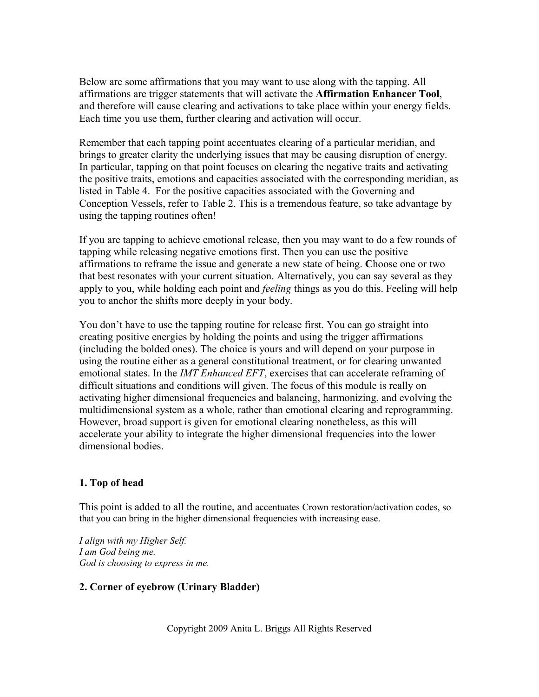Below are some affirmations that you may want to use along with the tapping. All affirmations are trigger statements that will activate the **Affirmation Enhancer Tool**, and therefore will cause clearing and activations to take place within your energy fields. Each time you use them, further clearing and activation will occur.

Remember that each tapping point accentuates clearing of a particular meridian, and brings to greater clarity the underlying issues that may be causing disruption of energy. In particular, tapping on that point focuses on clearing the negative traits and activating the positive traits, emotions and capacities associated with the corresponding meridian, as listed in Table 4. For the positive capacities associated with the Governing and Conception Vessels, refer to Table 2. This is a tremendous feature, so take advantage by using the tapping routines often!

If you are tapping to achieve emotional release, then you may want to do a few rounds of tapping while releasing negative emotions first. Then you can use the positive affirmations to reframe the issue and generate a new state of being. **C**hoose one or two that best resonates with your current situation. Alternatively, you can say several as they apply to you, while holding each point and *feeling* things as you do this. Feeling will help you to anchor the shifts more deeply in your body.

You don't have to use the tapping routine for release first. You can go straight into creating positive energies by holding the points and using the trigger affirmations (including the bolded ones). The choice is yours and will depend on your purpose in using the routine either as a general constitutional treatment, or for clearing unwanted emotional states. In the *IMT Enhanced EFT*, exercises that can accelerate reframing of difficult situations and conditions will given. The focus of this module is really on activating higher dimensional frequencies and balancing, harmonizing, and evolving the multidimensional system as a whole, rather than emotional clearing and reprogramming. However, broad support is given for emotional clearing nonetheless, as this will accelerate your ability to integrate the higher dimensional frequencies into the lower dimensional bodies.

## **1. Top of head**

This point is added to all the routine, and accentuates Crown restoration/activation codes, so that you can bring in the higher dimensional frequencies with increasing ease.

*I align with my Higher Self. I am God being me. God is choosing to express in me.*

## **2. Corner of eyebrow (Urinary Bladder)**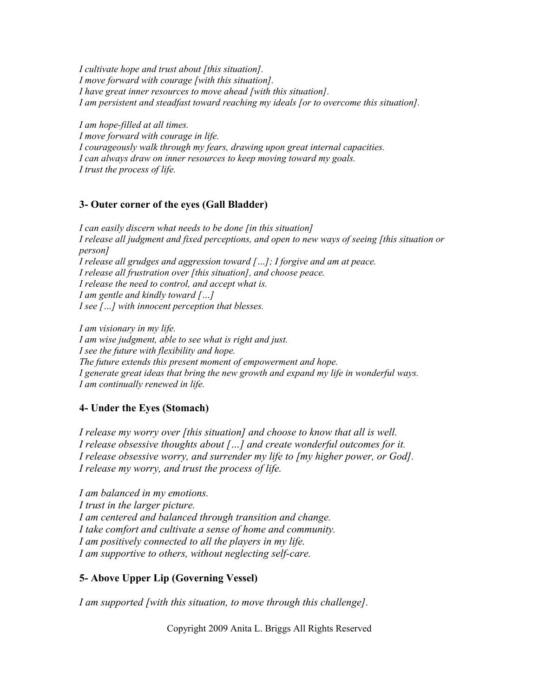*I cultivate hope and trust about [this situation]. I move forward with courage [with this situation]. I have great inner resources to move ahead [with this situation]. I am persistent and steadfast toward reaching my ideals [or to overcome this situation].*

*I am hope-filled at all times. I move forward with courage in life. I courageously walk through my fears, drawing upon great internal capacities. I can always draw on inner resources to keep moving toward my goals. I trust the process of life.*

#### **3- Outer corner of the eyes (Gall Bladder)**

*I can easily discern what needs to be done [in this situation] I release all judgment and fixed perceptions, and open to new ways of seeing [this situation or person] I release all grudges and aggression toward […]; I forgive and am at peace. I release all frustration over [this situation], and choose peace. I release the need to control, and accept what is. I am gentle and kindly toward […] I see […] with innocent perception that blesses.*

*I am visionary in my life. I am wise judgment, able to see what is right and just. I see the future with flexibility and hope. The future extends this present moment of empowerment and hope. I generate great ideas that bring the new growth and expand my life in wonderful ways. I am continually renewed in life.*

#### **4- Under the Eyes (Stomach)**

*I release my worry over [this situation] and choose to know that all is well. I release obsessive thoughts about […] and create wonderful outcomes for it. I release obsessive worry, and surrender my life to [my higher power, or God]. I release my worry, and trust the process of life.*

*I am balanced in my emotions. I trust in the larger picture. I am centered and balanced through transition and change. I take comfort and cultivate a sense of home and community. I am positively connected to all the players in my life. I am supportive to others, without neglecting self-care.*

#### **5- Above Upper Lip (Governing Vessel)**

*I am supported [with this situation, to move through this challenge].*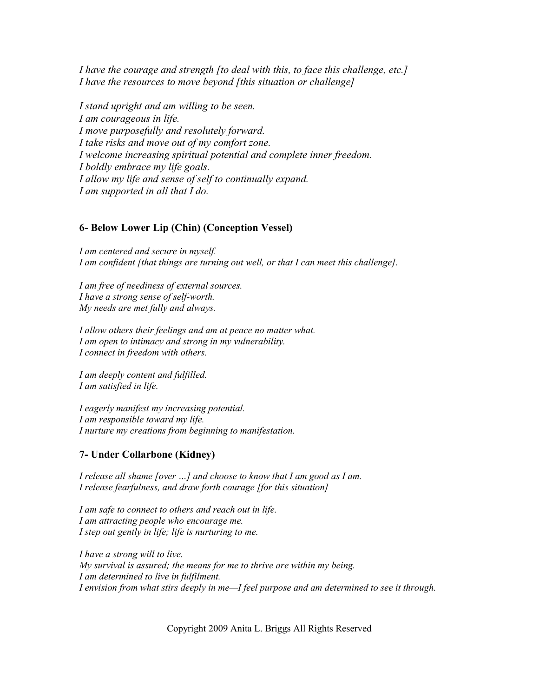*I have the courage and strength [to deal with this, to face this challenge, etc.] I have the resources to move beyond [this situation or challenge]*

*I stand upright and am willing to be seen. I am courageous in life. I move purposefully and resolutely forward. I take risks and move out of my comfort zone. I welcome increasing spiritual potential and complete inner freedom. I boldly embrace my life goals. I allow my life and sense of self to continually expand. I am supported in all that I do.*

#### **6- Below Lower Lip (Chin) (Conception Vessel)**

*I am centered and secure in myself. I am confident [that things are turning out well, or that I can meet this challenge].*

*I am free of neediness of external sources. I have a strong sense of self-worth. My needs are met fully and always.*

*I allow others their feelings and am at peace no matter what. I am open to intimacy and strong in my vulnerability. I connect in freedom with others.*

*I am deeply content and fulfilled. I am satisfied in life.*

*I eagerly manifest my increasing potential. I am responsible toward my life. I nurture my creations from beginning to manifestation.*

#### **7- Under Collarbone (Kidney)**

*I release all shame [over …] and choose to know that I am good as I am. I release fearfulness, and draw forth courage [for this situation]*

*I am safe to connect to others and reach out in life. I am attracting people who encourage me. I step out gently in life; life is nurturing to me.*

*I have a strong will to live. My survival is assured; the means for me to thrive are within my being. I am determined to live in fulfilment. I envision from what stirs deeply in me—I feel purpose and am determined to see it through.*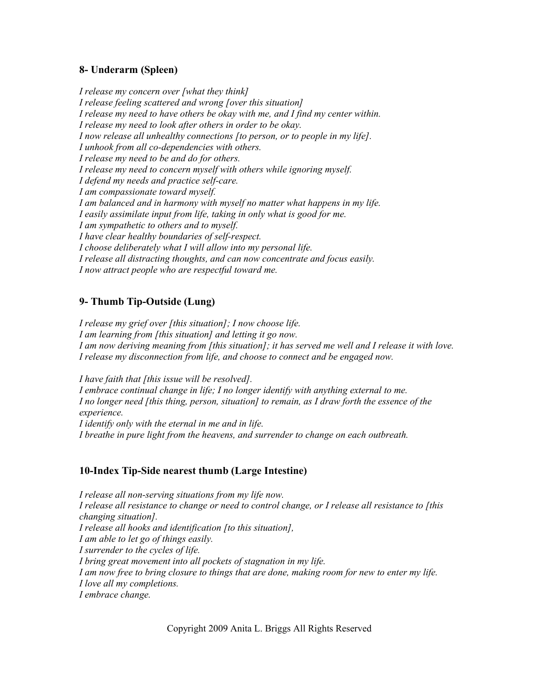## **8- Underarm (Spleen)**

*I release my concern over [what they think] I release feeling scattered and wrong [over this situation] I release my need to have others be okay with me, and I find my center within. I release my need to look after others in order to be okay. I now release all unhealthy connections [to person, or to people in my life]. I unhook from all co-dependencies with others. I release my need to be and do for others. I release my need to concern myself with others while ignoring myself. I defend my needs and practice self-care. I am compassionate toward myself. I am balanced and in harmony with myself no matter what happens in my life. I easily assimilate input from life, taking in only what is good for me. I am sympathetic to others and to myself. I have clear healthy boundaries of self-respect. I choose deliberately what I will allow into my personal life. I release all distracting thoughts, and can now concentrate and focus easily. I now attract people who are respectful toward me.*

## **9- Thumb Tip-Outside (Lung)**

*I release my grief over [this situation]; I now choose life. I am learning from [this situation] and letting it go now. I am now deriving meaning from [this situation]; it has served me well and I release it with love. I release my disconnection from life, and choose to connect and be engaged now.*

*I have faith that [this issue will be resolved]. I embrace continual change in life; I no longer identify with anything external to me. I no longer need [this thing, person, situation] to remain, as I draw forth the essence of the experience. I identify only with the eternal in me and in life. I breathe in pure light from the heavens, and surrender to change on each outbreath.*

## **10-Index Tip-Side nearest thumb (Large Intestine)**

*I release all non-serving situations from my life now. I release all resistance to change or need to control change, or I release all resistance to [this changing situation]. I release all hooks and identification [to this situation], I am able to let go of things easily. I surrender to the cycles of life. I bring great movement into all pockets of stagnation in my life. I am now free to bring closure to things that are done, making room for new to enter my life. I love all my completions. I embrace change.*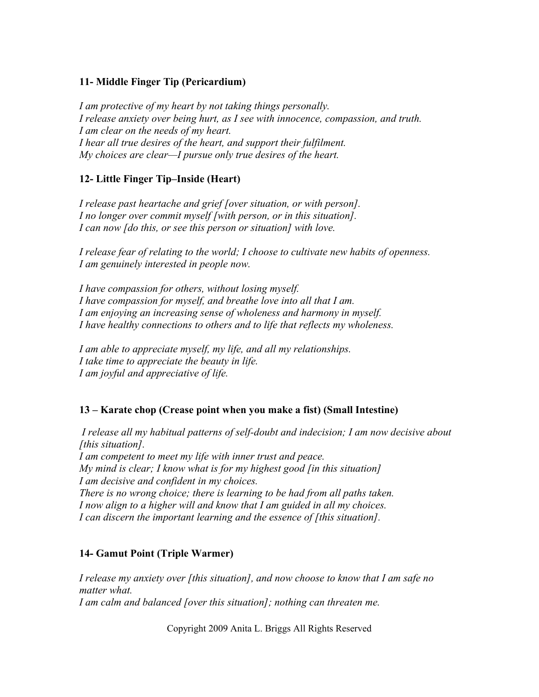## **11- Middle Finger Tip (Pericardium)**

*I am protective of my heart by not taking things personally. I release anxiety over being hurt, as I see with innocence, compassion, and truth. I am clear on the needs of my heart. I hear all true desires of the heart, and support their fulfilment. My choices are clear—I pursue only true desires of the heart.*

## **12- Little Finger Tip–Inside (Heart)**

*I release past heartache and grief [over situation, or with person]. I no longer over commit myself [with person, or in this situation]. I can now [do this, or see this person or situation] with love.*

*I release fear of relating to the world; I choose to cultivate new habits of openness. I am genuinely interested in people now.*

*I have compassion for others, without losing myself. I have compassion for myself, and breathe love into all that I am. I am enjoying an increasing sense of wholeness and harmony in myself. I have healthy connections to others and to life that reflects my wholeness.*

*I am able to appreciate myself, my life, and all my relationships. I take time to appreciate the beauty in life. I am joyful and appreciative of life.*

## **13 – Karate chop (Crease point when you make a fist) (Small Intestine)**

 *I release all my habitual patterns of self-doubt and indecision; I am now decisive about [this situation].*

*I am competent to meet my life with inner trust and peace. My mind is clear; I know what is for my highest good [in this situation] I am decisive and confident in my choices. There is no wrong choice; there is learning to be had from all paths taken. I now align to a higher will and know that I am guided in all my choices. I can discern the important learning and the essence of [this situation].*

## **14- Gamut Point (Triple Warmer)**

*I release my anxiety over [this situation], and now choose to know that I am safe no matter what. I am calm and balanced [over this situation]; nothing can threaten me.*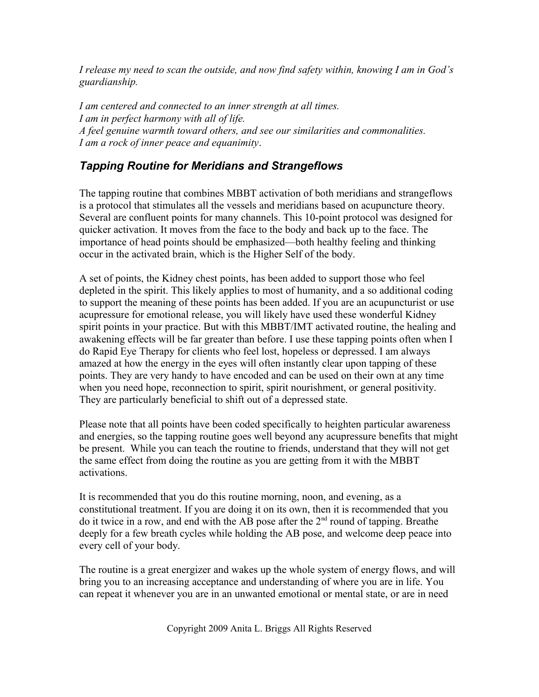*I release my need to scan the outside, and now find safety within, knowing I am in God's guardianship.*

*I am centered and connected to an inner strength at all times. I am in perfect harmony with all of life. A feel genuine warmth toward others, and see our similarities and commonalities. I am a rock of inner peace and equanimity*.

## *Tapping Routine for Meridians and Strangeflows*

The tapping routine that combines MBBT activation of both meridians and strangeflows is a protocol that stimulates all the vessels and meridians based on acupuncture theory. Several are confluent points for many channels. This 10-point protocol was designed for quicker activation. It moves from the face to the body and back up to the face. The importance of head points should be emphasized—both healthy feeling and thinking occur in the activated brain, which is the Higher Self of the body.

A set of points, the Kidney chest points, has been added to support those who feel depleted in the spirit. This likely applies to most of humanity, and a so additional coding to support the meaning of these points has been added. If you are an acupuncturist or use acupressure for emotional release, you will likely have used these wonderful Kidney spirit points in your practice. But with this MBBT/IMT activated routine, the healing and awakening effects will be far greater than before. I use these tapping points often when I do Rapid Eye Therapy for clients who feel lost, hopeless or depressed. I am always amazed at how the energy in the eyes will often instantly clear upon tapping of these points. They are very handy to have encoded and can be used on their own at any time when you need hope, reconnection to spirit, spirit nourishment, or general positivity. They are particularly beneficial to shift out of a depressed state.

Please note that all points have been coded specifically to heighten particular awareness and energies, so the tapping routine goes well beyond any acupressure benefits that might be present. While you can teach the routine to friends, understand that they will not get the same effect from doing the routine as you are getting from it with the MBBT activations.

It is recommended that you do this routine morning, noon, and evening, as a constitutional treatment. If you are doing it on its own, then it is recommended that you do it twice in a row, and end with the AB pose after the  $2<sup>nd</sup>$  round of tapping. Breathe deeply for a few breath cycles while holding the AB pose, and welcome deep peace into every cell of your body.

The routine is a great energizer and wakes up the whole system of energy flows, and will bring you to an increasing acceptance and understanding of where you are in life. You can repeat it whenever you are in an unwanted emotional or mental state, or are in need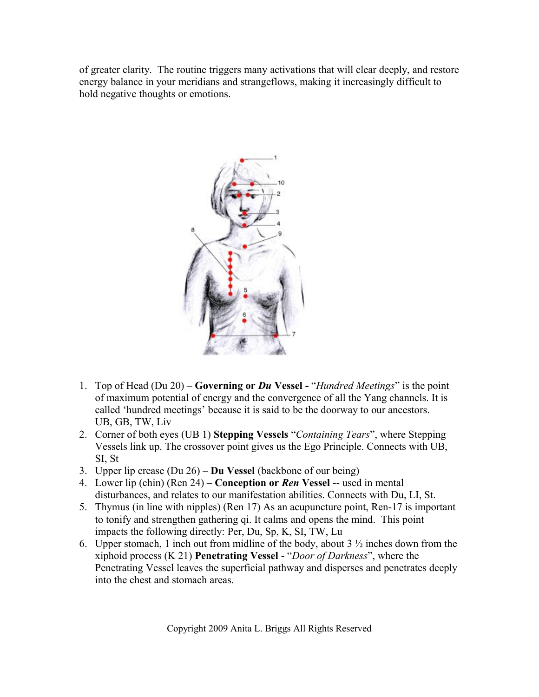of greater clarity. The routine triggers many activations that will clear deeply, and restore energy balance in your meridians and strangeflows, making it increasingly difficult to hold negative thoughts or emotions.



- 1. Top of Head (Du 20) **Governing or** *Du* **Vessel -** "*Hundred Meetings*" is the point of maximum potential of energy and the convergence of all the Yang channels. It is called 'hundred meetings' because it is said to be the doorway to our ancestors. UB, GB, TW, Liv
- 2. Corner of both eyes (UB 1) **Stepping Vessels** "*Containing Tears*", where Stepping Vessels link up. The crossover point gives us the Ego Principle. Connects with UB, SI, St
- 3. Upper lip crease (Du 26) **Du Vessel** (backbone of our being)
- 4. Lower lip (chin) (Ren 24) **Conception or** *Ren* **Vessel** -- used in mental disturbances, and relates to our manifestation abilities. Connects with Du, LI, St.
- 5. Thymus (in line with nipples) (Ren 17) As an acupuncture point, Ren-17 is important to tonify and strengthen gathering qi. It calms and opens the mind. This point impacts the following directly: Per, Du, Sp, K, SI, TW, Lu
- 6. Upper stomach, 1 inch out from midline of the body, about  $3\frac{1}{2}$  inches down from the xiphoid process (K 21) **Penetrating Vessel** - "*Door of Darkness*", where the Penetrating Vessel leaves the superficial pathway and disperses and penetrates deeply into the chest and stomach areas.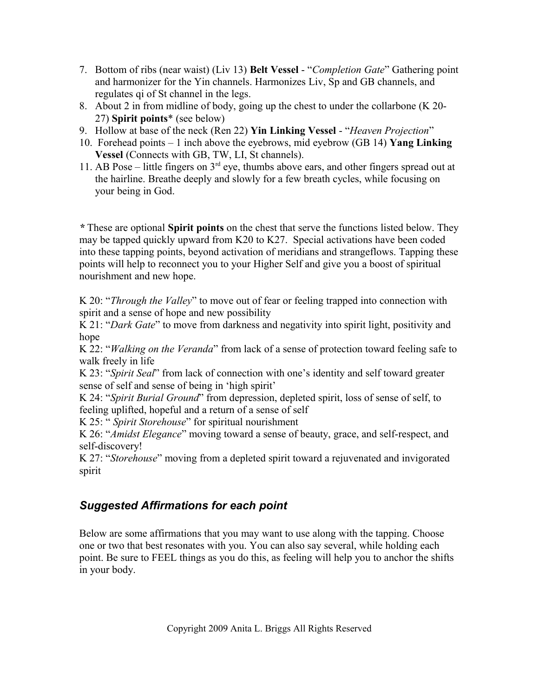- 7. Bottom of ribs (near waist) (Liv 13) **Belt Vessel** "*Completion Gate*" Gathering point and harmonizer for the Yin channels. Harmonizes Liv, Sp and GB channels, and regulates qi of St channel in the legs.
- 8. About 2 in from midline of body, going up the chest to under the collarbone (K 20- 27) **Spirit points**\* (see below)
- 9. Hollow at base of the neck (Ren 22) **Yin Linking Vessel** "*Heaven Projection*"
- 10. Forehead points 1 inch above the eyebrows, mid eyebrow (GB 14) **Yang Linking Vessel** (Connects with GB, TW, LI, St channels).
- 11. AB Pose little fingers on  $3<sup>rd</sup>$  eye, thumbs above ears, and other fingers spread out at the hairline. Breathe deeply and slowly for a few breath cycles, while focusing on your being in God.

*\** These are optional **Spirit points** on the chest that serve the functions listed below. They may be tapped quickly upward from K20 to K27. Special activations have been coded into these tapping points, beyond activation of meridians and strangeflows. Tapping these points will help to reconnect you to your Higher Self and give you a boost of spiritual nourishment and new hope.

K 20: "*Through the Valley*" to move out of fear or feeling trapped into connection with spirit and a sense of hope and new possibility

K 21: "*Dark Gate*" to move from darkness and negativity into spirit light, positivity and hope

K 22: "*Walking on the Veranda*" from lack of a sense of protection toward feeling safe to walk freely in life

K 23: "*Spirit Seal*" from lack of connection with one's identity and self toward greater sense of self and sense of being in 'high spirit'

K 24: "*Spirit Burial Ground*" from depression, depleted spirit, loss of sense of self, to feeling uplifted, hopeful and a return of a sense of self

K 25: " *Spirit Storehouse*" for spiritual nourishment

K 26: "*Amidst Elegance*" moving toward a sense of beauty, grace, and self-respect, and self-discovery!

K 27: "*Storehouse*" moving from a depleted spirit toward a rejuvenated and invigorated spirit

# *Suggested Affirmations for each point*

Below are some affirmations that you may want to use along with the tapping. Choose one or two that best resonates with you. You can also say several, while holding each point. Be sure to FEEL things as you do this, as feeling will help you to anchor the shifts in your body.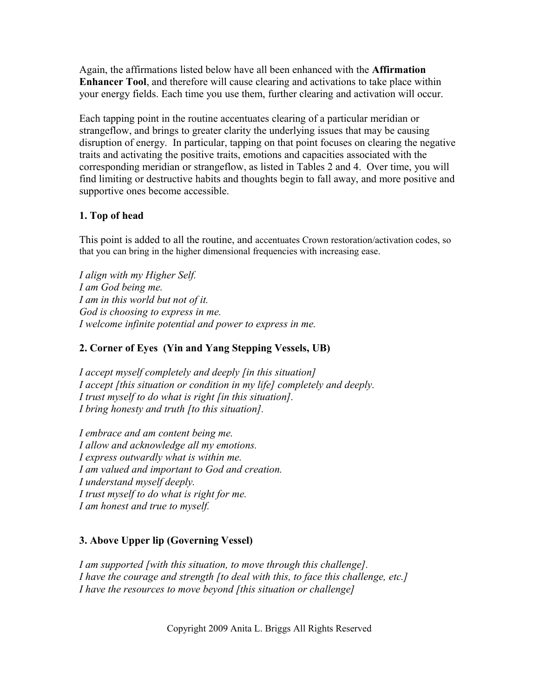Again, the affirmations listed below have all been enhanced with the **Affirmation Enhancer Tool**, and therefore will cause clearing and activations to take place within your energy fields. Each time you use them, further clearing and activation will occur.

Each tapping point in the routine accentuates clearing of a particular meridian or strangeflow, and brings to greater clarity the underlying issues that may be causing disruption of energy. In particular, tapping on that point focuses on clearing the negative traits and activating the positive traits, emotions and capacities associated with the corresponding meridian or strangeflow, as listed in Tables 2 and 4. Over time, you will find limiting or destructive habits and thoughts begin to fall away, and more positive and supportive ones become accessible.

## **1. Top of head**

This point is added to all the routine, and accentuates Crown restoration/activation codes, so that you can bring in the higher dimensional frequencies with increasing ease.

*I align with my Higher Self. I am God being me. I am in this world but not of it. God is choosing to express in me. I welcome infinite potential and power to express in me.*

## **2. Corner of Eyes (Yin and Yang Stepping Vessels, UB)**

*I accept myself completely and deeply [in this situation] I accept [this situation or condition in my life] completely and deeply. I trust myself to do what is right [in this situation]. I bring honesty and truth [to this situation].* 

*I embrace and am content being me. I allow and acknowledge all my emotions. I express outwardly what is within me. I am valued and important to God and creation. I understand myself deeply. I trust myself to do what is right for me. I am honest and true to myself.*

## **3. Above Upper lip (Governing Vessel)**

*I am supported [with this situation, to move through this challenge]. I have the courage and strength [to deal with this, to face this challenge, etc.] I have the resources to move beyond [this situation or challenge]*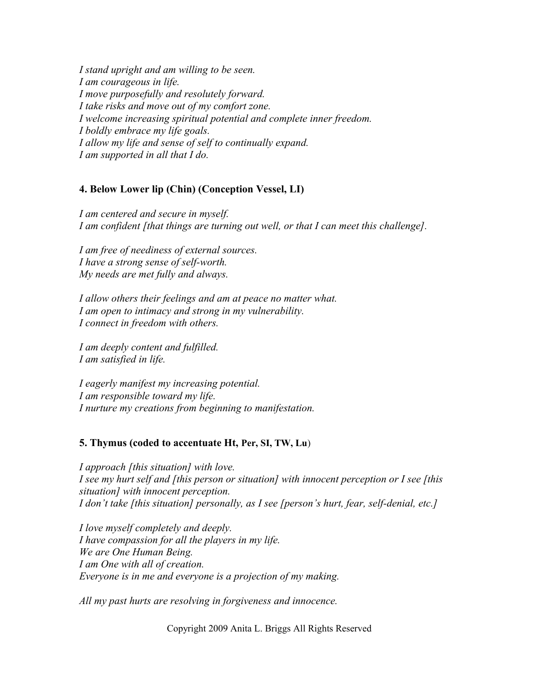*I stand upright and am willing to be seen. I am courageous in life. I move purposefully and resolutely forward. I take risks and move out of my comfort zone. I welcome increasing spiritual potential and complete inner freedom. I boldly embrace my life goals. I allow my life and sense of self to continually expand. I am supported in all that I do.*

#### **4. Below Lower lip (Chin) (Conception Vessel, LI)**

*I am centered and secure in myself. I am confident [that things are turning out well, or that I can meet this challenge].*

*I am free of neediness of external sources. I have a strong sense of self-worth. My needs are met fully and always.*

*I allow others their feelings and am at peace no matter what. I am open to intimacy and strong in my vulnerability. I connect in freedom with others.*

*I am deeply content and fulfilled. I am satisfied in life.*

*I eagerly manifest my increasing potential. I am responsible toward my life. I nurture my creations from beginning to manifestation.*

#### **5. Thymus (coded to accentuate Ht, Per, SI, TW, Lu**)

*I approach [this situation] with love. I see my hurt self and [this person or situation] with innocent perception or I see [this situation] with innocent perception. I don't take [this situation] personally, as I see [person's hurt, fear, self-denial, etc.]*

*I love myself completely and deeply. I have compassion for all the players in my life. We are One Human Being. I am One with all of creation. Everyone is in me and everyone is a projection of my making.*

*All my past hurts are resolving in forgiveness and innocence.*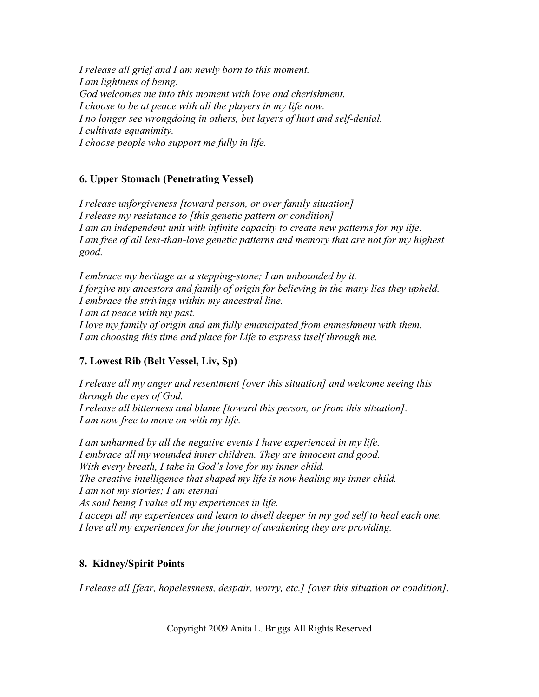*I release all grief and I am newly born to this moment. I am lightness of being. God welcomes me into this moment with love and cherishment. I choose to be at peace with all the players in my life now. I no longer see wrongdoing in others, but layers of hurt and self-denial. I cultivate equanimity. I choose people who support me fully in life.*

## **6. Upper Stomach (Penetrating Vessel)**

*I release unforgiveness [toward person, or over family situation] I release my resistance to [this genetic pattern or condition] I am an independent unit with infinite capacity to create new patterns for my life. I am free of all less-than-love genetic patterns and memory that are not for my highest good.*

*I embrace my heritage as a stepping-stone; I am unbounded by it. I forgive my ancestors and family of origin for believing in the many lies they upheld. I embrace the strivings within my ancestral line. I am at peace with my past. I love my family of origin and am fully emancipated from enmeshment with them. I am choosing this time and place for Life to express itself through me.*

## **7. Lowest Rib (Belt Vessel, Liv, Sp)**

*I release all my anger and resentment [over this situation] and welcome seeing this through the eyes of God. I release all bitterness and blame [toward this person, or from this situation]. I am now free to move on with my life.*

*I am unharmed by all the negative events I have experienced in my life. I embrace all my wounded inner children. They are innocent and good. With every breath, I take in God's love for my inner child. The creative intelligence that shaped my life is now healing my inner child. I am not my stories; I am eternal As soul being I value all my experiences in life. I accept all my experiences and learn to dwell deeper in my god self to heal each one. I love all my experiences for the journey of awakening they are providing.*

## **8. Kidney/Spirit Points**

*I release all [fear, hopelessness, despair, worry, etc.] [over this situation or condition].*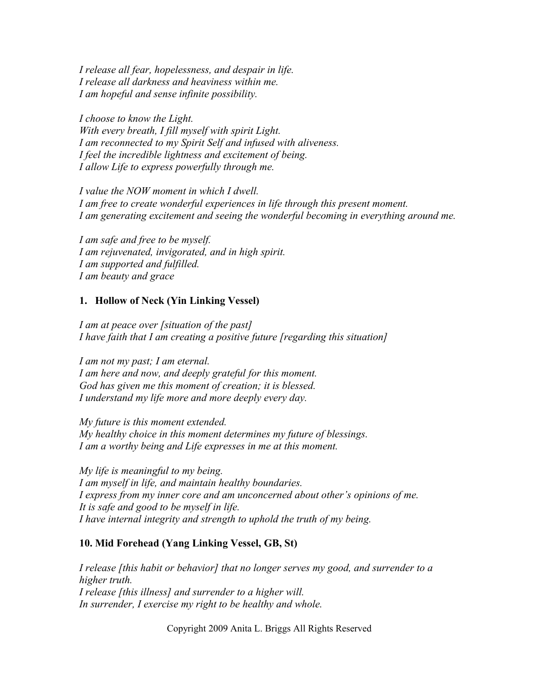*I release all fear, hopelessness, and despair in life. I release all darkness and heaviness within me. I am hopeful and sense infinite possibility.*

*I choose to know the Light. With every breath, I fill myself with spirit Light. I am reconnected to my Spirit Self and infused with aliveness. I feel the incredible lightness and excitement of being. I allow Life to express powerfully through me.*

*I value the NOW moment in which I dwell. I am free to create wonderful experiences in life through this present moment. I am generating excitement and seeing the wonderful becoming in everything around me.*

*I am safe and free to be myself. I am rejuvenated, invigorated, and in high spirit. I am supported and fulfilled. I am beauty and grace*

#### **1. Hollow of Neck (Yin Linking Vessel)**

*I am at peace over [situation of the past] I have faith that I am creating a positive future [regarding this situation]* 

*I am not my past; I am eternal. I am here and now, and deeply grateful for this moment. God has given me this moment of creation; it is blessed. I understand my life more and more deeply every day.*

*My future is this moment extended. My healthy choice in this moment determines my future of blessings. I am a worthy being and Life expresses in me at this moment.*

*My life is meaningful to my being. I am myself in life, and maintain healthy boundaries. I express from my inner core and am unconcerned about other's opinions of me. It is safe and good to be myself in life. I have internal integrity and strength to uphold the truth of my being.*

#### **10. Mid Forehead (Yang Linking Vessel, GB, St)**

*I release [this habit or behavior] that no longer serves my good, and surrender to a higher truth. I release [this illness] and surrender to a higher will. In surrender, I exercise my right to be healthy and whole.*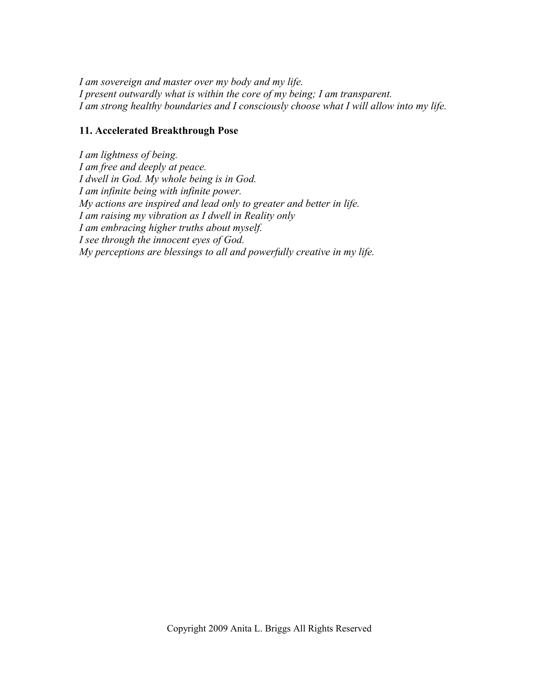*I am sovereign and master over my body and my life. I present outwardly what is within the core of my being; I am transparent. I am strong healthy boundaries and I consciously choose what I will allow into my life.*

### **11. Accelerated Breakthrough Pose**

*I am lightness of being. I am free and deeply at peace. I dwell in God. My whole being is in God. I am infinite being with infinite power. My actions are inspired and lead only to greater and better in life. I am raising my vibration as I dwell in Reality only I am embracing higher truths about myself. I see through the innocent eyes of God. My perceptions are blessings to all and powerfully creative in my life.*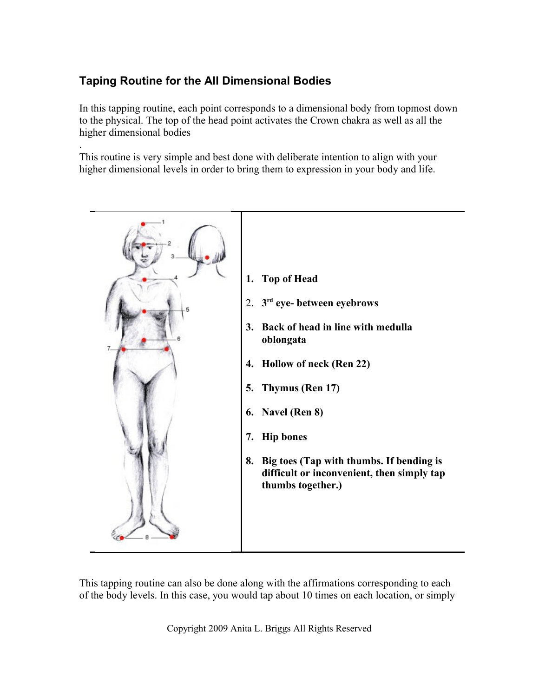# **Taping Routine for the All Dimensional Bodies**

In this tapping routine, each point corresponds to a dimensional body from topmost down to the physical. The top of the head point activates the Crown chakra as well as all the higher dimensional bodies

. This routine is very simple and best done with deliberate intention to align with your higher dimensional levels in order to bring them to expression in your body and life.



This tapping routine can also be done along with the affirmations corresponding to each of the body levels. In this case, you would tap about 10 times on each location, or simply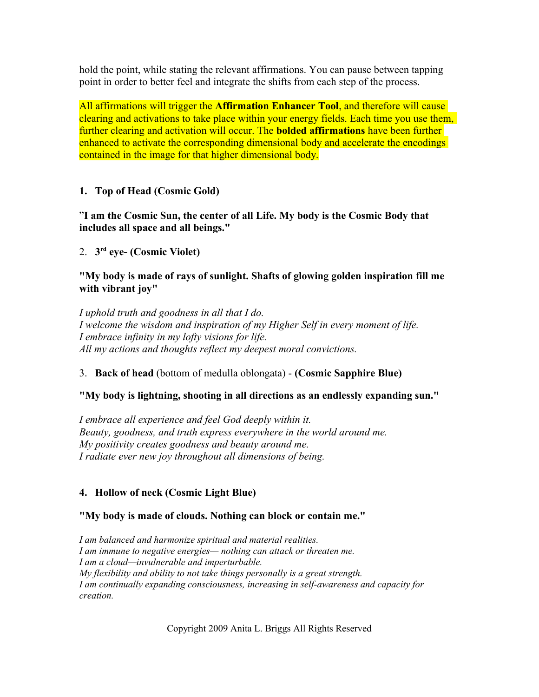hold the point, while stating the relevant affirmations. You can pause between tapping point in order to better feel and integrate the shifts from each step of the process.

All affirmations will trigger the **Affirmation Enhancer Tool**, and therefore will cause clearing and activations to take place within your energy fields. Each time you use them, further clearing and activation will occur. The **bolded affirmations** have been further enhanced to activate the corresponding dimensional body and accelerate the encodings contained in the image for that higher dimensional body.

## **1. Top of Head (Cosmic Gold)**

"**I am the Cosmic Sun, the center of all Life. My body is the Cosmic Body that includes all space and all beings."**

2. **3 rd eye- (Cosmic Violet)**

#### **"My body is made of rays of sunlight. Shafts of glowing golden inspiration fill me with vibrant joy"**

*I uphold truth and goodness in all that I do. I welcome the wisdom and inspiration of my Higher Self in every moment of life. I embrace infinity in my lofty visions for life. All my actions and thoughts reflect my deepest moral convictions.*

## 3. **Back of head** (bottom of medulla oblongata) - **(Cosmic Sapphire Blue)**

## **"My body is lightning, shooting in all directions as an endlessly expanding sun."**

*I embrace all experience and feel God deeply within it. Beauty, goodness, and truth express everywhere in the world around me. My positivity creates goodness and beauty around me. I radiate ever new joy throughout all dimensions of being.*

## **4. Hollow of neck (Cosmic Light Blue)**

## **"My body is made of clouds. Nothing can block or contain me."**

*I am balanced and harmonize spiritual and material realities. I am immune to negative energies— nothing can attack or threaten me. I am a cloud—invulnerable and imperturbable. My flexibility and ability to not take things personally is a great strength. I am continually expanding consciousness, increasing in self-awareness and capacity for creation.*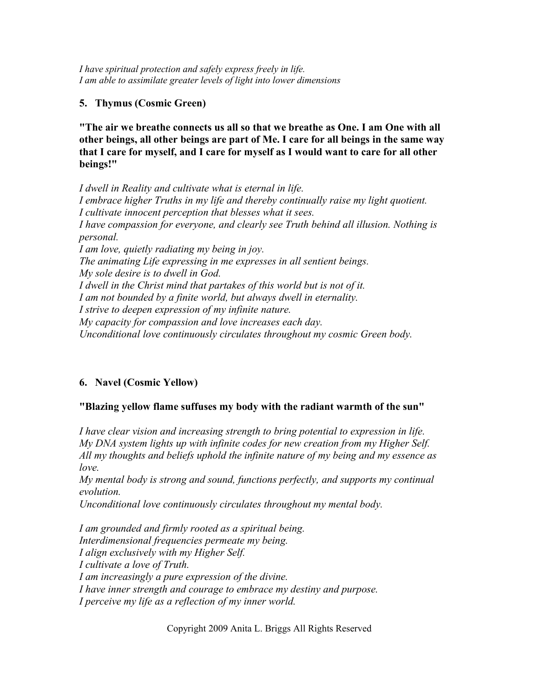*I have spiritual protection and safely express freely in life. I am able to assimilate greater levels of light into lower dimensions*

## **5. Thymus (Cosmic Green)**

**"The air we breathe connects us all so that we breathe as One. I am One with all other beings, all other beings are part of Me. I care for all beings in the same way that I care for myself, and I care for myself as I would want to care for all other beings!"**

*I dwell in Reality and cultivate what is eternal in life. I embrace higher Truths in my life and thereby continually raise my light quotient. I cultivate innocent perception that blesses what it sees. I have compassion for everyone, and clearly see Truth behind all illusion. Nothing is personal. I am love, quietly radiating my being in joy. The animating Life expressing in me expresses in all sentient beings. My sole desire is to dwell in God. I dwell in the Christ mind that partakes of this world but is not of it. I am not bounded by a finite world, but always dwell in eternality. I strive to deepen expression of my infinite nature. My capacity for compassion and love increases each day. Unconditional love continuously circulates throughout my cosmic Green body.*

## **6. Navel (Cosmic Yellow)**

## **"Blazing yellow flame suffuses my body with the radiant warmth of the sun"**

*I have clear vision and increasing strength to bring potential to expression in life. My DNA system lights up with infinite codes for new creation from my Higher Self. All my thoughts and beliefs uphold the infinite nature of my being and my essence as love.*

*My mental body is strong and sound, functions perfectly, and supports my continual evolution.*

*Unconditional love continuously circulates throughout my mental body.*

*I am grounded and firmly rooted as a spiritual being. Interdimensional frequencies permeate my being. I align exclusively with my Higher Self. I cultivate a love of Truth. I am increasingly a pure expression of the divine. I have inner strength and courage to embrace my destiny and purpose. I perceive my life as a reflection of my inner world.*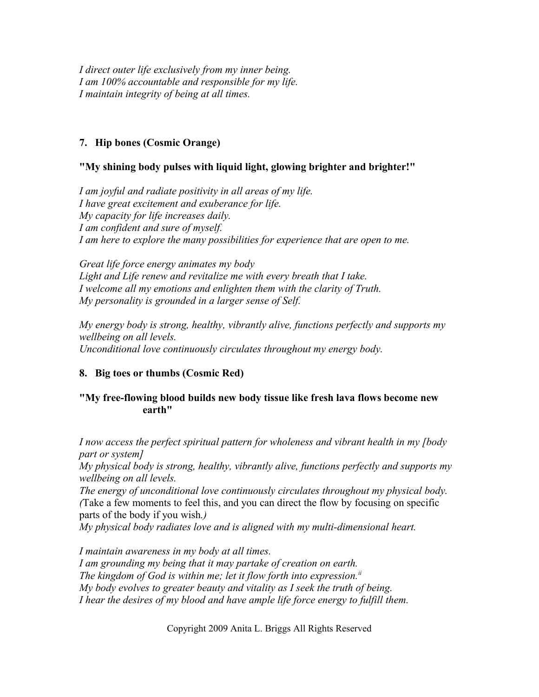*I direct outer life exclusively from my inner being. I am 100% accountable and responsible for my life. I maintain integrity of being at all times.*

## **7. Hip bones (Cosmic Orange)**

## **"My shining body pulses with liquid light, glowing brighter and brighter!"**

*I am joyful and radiate positivity in all areas of my life. I have great excitement and exuberance for life. My capacity for life increases daily. I am confident and sure of myself. I am here to explore the many possibilities for experience that are open to me.*

*Great life force energy animates my body Light and Life renew and revitalize me with every breath that I take. I welcome all my emotions and enlighten them with the clarity of Truth. My personality is grounded in a larger sense of Self.*

*My energy body is strong, healthy, vibrantly alive, functions perfectly and supports my wellbeing on all levels. Unconditional love continuously circulates throughout my energy body.*

## **8. Big toes or thumbs (Cosmic Red)**

## **"My free-flowing blood builds new body tissue like fresh lava flows become new earth"**

*I now access the perfect spiritual pattern for wholeness and vibrant health in my [body part or system]*

*My physical body is strong, healthy, vibrantly alive, functions perfectly and supports my wellbeing on all levels.*

*The energy of unconditional love continuously circulates throughout my physical body. (*Take a few moments to feel this, and you can direct the flow by focusing on specific parts of the body if you wish*.)*

*My physical body radiates love and is aligned with my multi-dimensional heart.*

*I maintain awareness in my body at all times.*

*I am grounding my being that it may partake of creation on earth. The kingdom of God is within me; let it flow forth into expression.[ii](#page-26-1) My body evolves to greater beauty and vitality as I seek the truth of being. I hear the desires of my blood and have ample life force energy to fulfill them.*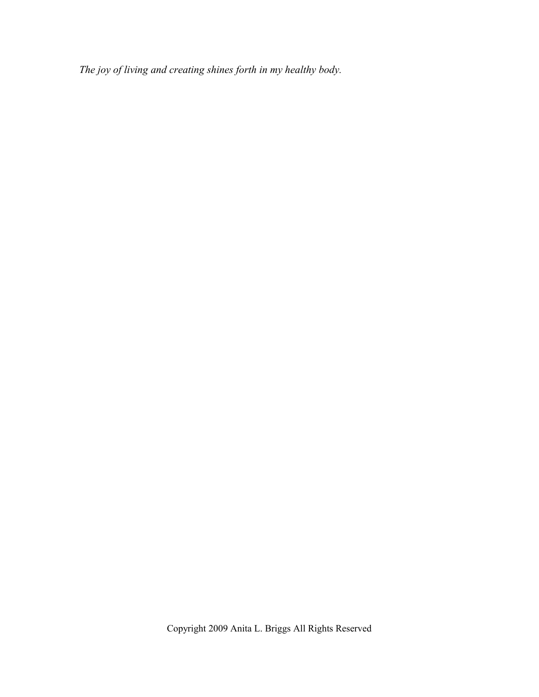*The joy of living and creating shines forth in my healthy body.*